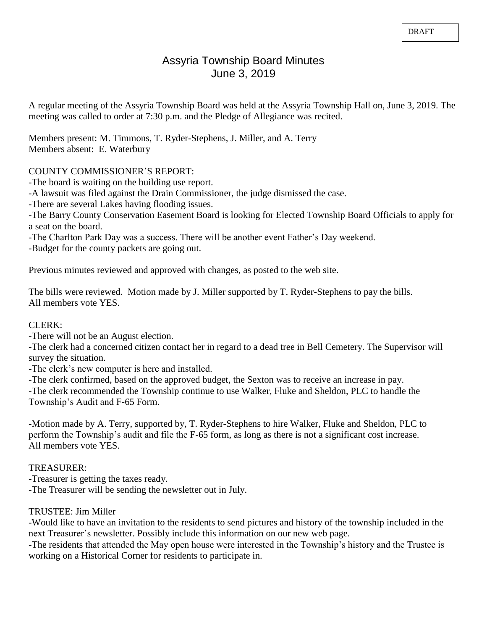# Assyria Township Board Minutes June 3, 2019

A regular meeting of the Assyria Township Board was held at the Assyria Township Hall on, June 3, 2019. The meeting was called to order at 7:30 p.m. and the Pledge of Allegiance was recited.

Members present: M. Timmons, T. Ryder-Stephens, J. Miller, and A. Terry Members absent: E. Waterbury

# COUNTY COMMISSIONER'S REPORT:

-The board is waiting on the building use report.

-A lawsuit was filed against the Drain Commissioner, the judge dismissed the case.

-There are several Lakes having flooding issues.

-The Barry County Conservation Easement Board is looking for Elected Township Board Officials to apply for a seat on the board.

-The Charlton Park Day was a success. There will be another event Father's Day weekend.

-Budget for the county packets are going out.

Previous minutes reviewed and approved with changes, as posted to the web site.

The bills were reviewed. Motion made by J. Miller supported by T. Ryder-Stephens to pay the bills. All members vote YES.

## CLERK:

-There will not be an August election.

-The clerk had a concerned citizen contact her in regard to a dead tree in Bell Cemetery. The Supervisor will survey the situation.

-The clerk's new computer is here and installed.

-The clerk confirmed, based on the approved budget, the Sexton was to receive an increase in pay.

-The clerk recommended the Township continue to use Walker, Fluke and Sheldon, PLC to handle the Township's Audit and F-65 Form.

-Motion made by A. Terry, supported by, T. Ryder-Stephens to hire Walker, Fluke and Sheldon, PLC to perform the Township's audit and file the F-65 form, as long as there is not a significant cost increase. All members vote YES.

# TREASURER:

-Treasurer is getting the taxes ready. -The Treasurer will be sending the newsletter out in July.

# TRUSTEE: Jim Miller

-Would like to have an invitation to the residents to send pictures and history of the township included in the next Treasurer's newsletter. Possibly include this information on our new web page.

-The residents that attended the May open house were interested in the Township's history and the Trustee is working on a Historical Corner for residents to participate in.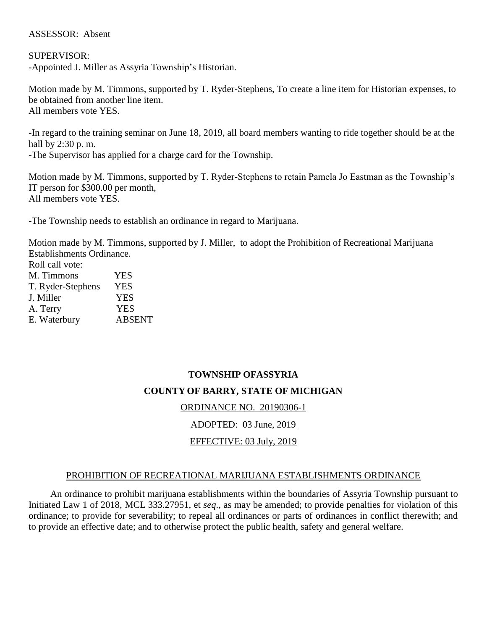# ASSESSOR: Absent

SUPERVISOR: -Appointed J. Miller as Assyria Township's Historian.

Motion made by M. Timmons, supported by T. Ryder-Stephens, To create a line item for Historian expenses, to be obtained from another line item. All members vote YES.

-In regard to the training seminar on June 18, 2019, all board members wanting to ride together should be at the hall by 2:30 p. m. -The Supervisor has applied for a charge card for the Township.

Motion made by M. Timmons, supported by T. Ryder-Stephens to retain Pamela Jo Eastman as the Township's IT person for \$300.00 per month, All members vote YES.

-The Township needs to establish an ordinance in regard to Marijuana.

Motion made by M. Timmons, supported by J. Miller, to adopt the Prohibition of Recreational Marijuana Establishments Ordinance.

| Roll call vote:   |               |
|-------------------|---------------|
| M. Timmons        | YES           |
| T. Ryder-Stephens | <b>YES</b>    |
| J. Miller         | <b>YES</b>    |
| A. Terry          | <b>YES</b>    |
| E. Waterbury      | <b>ABSENT</b> |

# **TOWNSHIP OFASSYRIA COUNTY OF BARRY, STATE OF MICHIGAN** ORDINANCE NO. 20190306-1

ADOPTED: 03 June, 2019

# EFFECTIVE: 03 July, 2019

# PROHIBITION OF RECREATIONAL MARIJUANA ESTABLISHMENTS ORDINANCE

An ordinance to prohibit marijuana establishments within the boundaries of Assyria Township pursuant to Initiated Law 1 of 2018, MCL 333.27951, et *seq*., as may be amended; to provide penalties for violation of this ordinance; to provide for severability; to repeal all ordinances or parts of ordinances in conflict therewith; and to provide an effective date; and to otherwise protect the public health, safety and general welfare.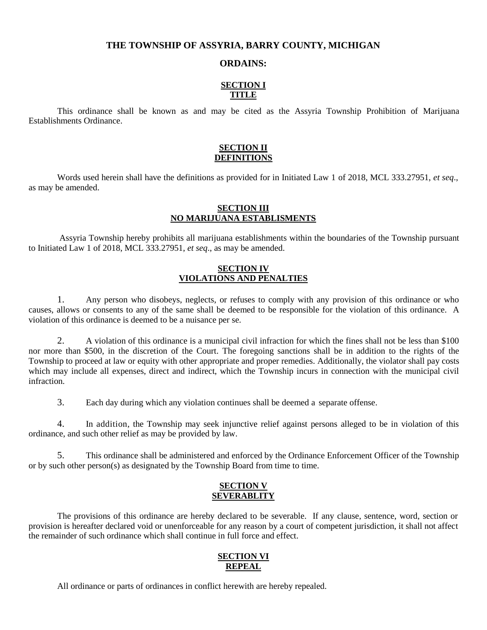### **THE TOWNSHIP OF ASSYRIA, BARRY COUNTY, MICHIGAN**

#### **ORDAINS:**

## **SECTION I TITLE**

This ordinance shall be known as and may be cited as the Assyria Township Prohibition of Marijuana Establishments Ordinance.

#### **SECTION II DEFINITIONS**

Words used herein shall have the definitions as provided for in Initiated Law 1 of 2018, MCL 333.27951, *et seq*., as may be amended.

### **SECTION III NO MARIJUANA ESTABLISMENTS**

Assyria Township hereby prohibits all marijuana establishments within the boundaries of the Township pursuant to Initiated Law 1 of 2018, MCL 333.27951, *et seq*., as may be amended.

#### **SECTION IV VIOLATIONS AND PENALTIES**

1. Any person who disobeys, neglects, or refuses to comply with any provision of this ordinance or who causes, allows or consents to any of the same shall be deemed to be responsible for the violation of this ordinance. A violation of this ordinance is deemed to be a nuisance per se.

2. A violation of this ordinance is a municipal civil infraction for which the fines shall not be less than \$100 nor more than \$500, in the discretion of the Court. The foregoing sanctions shall be in addition to the rights of the Township to proceed at law or equity with other appropriate and proper remedies. Additionally, the violator shall pay costs which may include all expenses, direct and indirect, which the Township incurs in connection with the municipal civil infraction.

3. Each day during which any violation continues shall be deemed a separate offense.

4. In addition, the Township may seek injunctive relief against persons alleged to be in violation of this ordinance, and such other relief as may be provided by law.

5. This ordinance shall be administered and enforced by the Ordinance Enforcement Officer of the Township or by such other person(s) as designated by the Township Board from time to time.

#### **SECTION V SEVERABLITY**

The provisions of this ordinance are hereby declared to be severable. If any clause, sentence, word, section or provision is hereafter declared void or unenforceable for any reason by a court of competent jurisdiction, it shall not affect the remainder of such ordinance which shall continue in full force and effect.

## **SECTION VI REPEAL**

All ordinance or parts of ordinances in conflict herewith are hereby repealed.